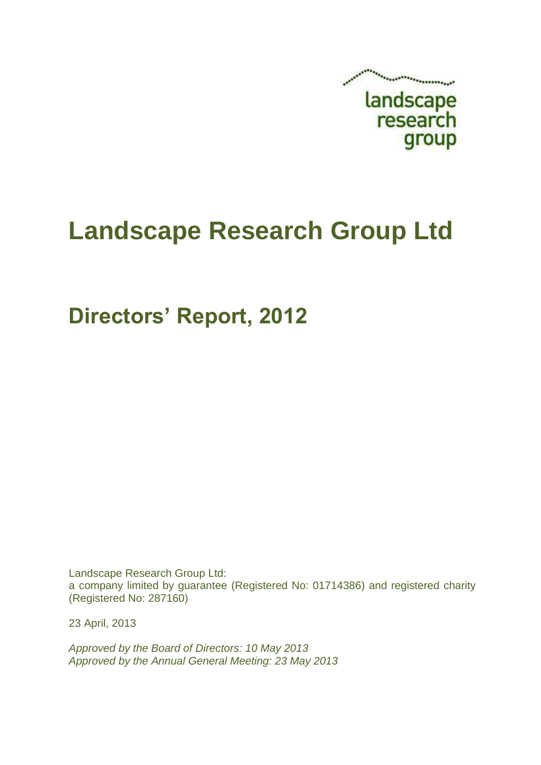

# **Landscape Research Group Ltd**

## **Directors' Report, 2012**

Landscape Research Group Ltd: a company limited by guarantee (Registered No: 01714386) and registered charity (Registered No: 287160)

23 April, 2013

*Approved by the Board of Directors: 10 May 2013 Approved by the Annual General Meeting: 23 May 2013*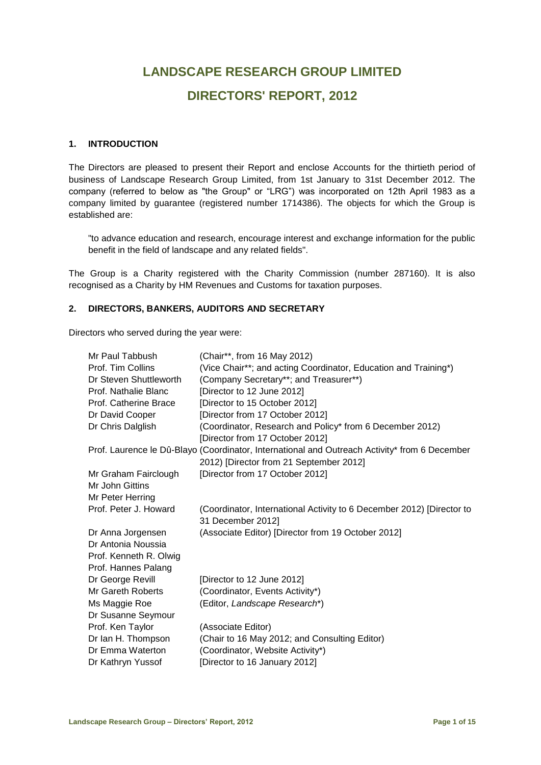### **LANDSCAPE RESEARCH GROUP LIMITED DIRECTORS' REPORT, 2012**

#### **1. INTRODUCTION**

The Directors are pleased to present their Report and enclose Accounts for the thirtieth period of business of Landscape Research Group Limited, from 1st January to 31st December 2012. The company (referred to below as "the Group" or "LRG") was incorporated on 12th April 1983 as a company limited by guarantee (registered number 1714386). The objects for which the Group is established are:

"to advance education and research, encourage interest and exchange information for the public benefit in the field of landscape and any related fields".

The Group is a Charity registered with the Charity Commission (number 287160). It is also recognised as a Charity by HM Revenues and Customs for taxation purposes.

#### **2. DIRECTORS, BANKERS, AUDITORS AND SECRETARY**

Directors who served during the year were:

| Mr Paul Tabbush        | (Chair**, from 16 May 2012)                                                                   |
|------------------------|-----------------------------------------------------------------------------------------------|
| Prof. Tim Collins      | (Vice Chair**; and acting Coordinator, Education and Training*)                               |
| Dr Steven Shuttleworth | (Company Secretary**; and Treasurer**)                                                        |
| Prof. Nathalie Blanc   | [Director to 12 June 2012]                                                                    |
| Prof. Catherine Brace  | [Director to 15 October 2012]                                                                 |
| Dr David Cooper        | [Director from 17 October 2012]                                                               |
| Dr Chris Dalglish      | (Coordinator, Research and Policy* from 6 December 2012)                                      |
|                        | [Director from 17 October 2012]                                                               |
|                        | Prof. Laurence le Dû-Blayo (Coordinator, International and Outreach Activity* from 6 December |
|                        | 2012) [Director from 21 September 2012]                                                       |
| Mr Graham Fairclough   | [Director from 17 October 2012]                                                               |
| Mr John Gittins        |                                                                                               |
| Mr Peter Herring       |                                                                                               |
| Prof. Peter J. Howard  | (Coordinator, International Activity to 6 December 2012) [Director to<br>31 December 2012]    |
| Dr Anna Jorgensen      | (Associate Editor) [Director from 19 October 2012]                                            |
| Dr Antonia Noussia     |                                                                                               |
| Prof. Kenneth R. Olwig |                                                                                               |
| Prof. Hannes Palang    |                                                                                               |
| Dr George Revill       | [Director to 12 June 2012]                                                                    |
| Mr Gareth Roberts      | (Coordinator, Events Activity*)                                                               |
| Ms Maggie Roe          | (Editor, Landscape Research*)                                                                 |
| Dr Susanne Seymour     |                                                                                               |
| Prof. Ken Taylor       | (Associate Editor)                                                                            |
| Dr Ian H. Thompson     | (Chair to 16 May 2012; and Consulting Editor)                                                 |
| Dr Emma Waterton       | (Coordinator, Website Activity*)                                                              |
| Dr Kathryn Yussof      | [Director to 16 January 2012]                                                                 |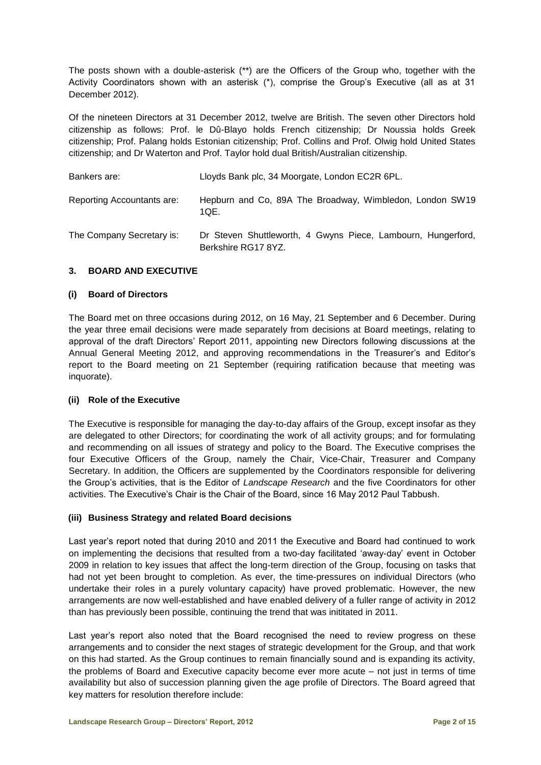The posts shown with a double-asterisk (\*\*) are the Officers of the Group who, together with the Activity Coordinators shown with an asterisk (\*), comprise the Group's Executive (all as at 31 December 2012).

Of the nineteen Directors at 31 December 2012, twelve are British. The seven other Directors hold citizenship as follows: Prof. le Dû-Blayo holds French citizenship; Dr Noussia holds Greek citizenship; Prof. Palang holds Estonian citizenship; Prof. Collins and Prof. Olwig hold United States citizenship; and Dr Waterton and Prof. Taylor hold dual British/Australian citizenship.

| Bankers are:               | Lloyds Bank plc, 34 Moorgate, London EC2R 6PL.                                      |
|----------------------------|-------------------------------------------------------------------------------------|
| Reporting Accountants are: | Hepburn and Co, 89A The Broadway, Wimbledon, London SW19<br>10E.                    |
| The Company Secretary is:  | Dr Steven Shuttleworth, 4 Gwyns Piece, Lambourn, Hungerford,<br>Berkshire RG17 8YZ. |

#### **3. BOARD AND EXECUTIVE**

#### **(i) Board of Directors**

The Board met on three occasions during 2012, on 16 May, 21 September and 6 December. During the year three email decisions were made separately from decisions at Board meetings, relating to approval of the draft Directors' Report 2011, appointing new Directors following discussions at the Annual General Meeting 2012, and approving recommendations in the Treasurer's and Editor's report to the Board meeting on 21 September (requiring ratification because that meeting was inquorate).

#### **(ii) Role of the Executive**

The Executive is responsible for managing the day-to-day affairs of the Group, except insofar as they are delegated to other Directors; for coordinating the work of all activity groups; and for formulating and recommending on all issues of strategy and policy to the Board. The Executive comprises the four Executive Officers of the Group, namely the Chair, Vice-Chair, Treasurer and Company Secretary. In addition, the Officers are supplemented by the Coordinators responsible for delivering the Group's activities, that is the Editor of *Landscape Research* and the five Coordinators for other activities. The Executive's Chair is the Chair of the Board, since 16 May 2012 Paul Tabbush.

#### **(iii) Business Strategy and related Board decisions**

Last year's report noted that during 2010 and 2011 the Executive and Board had continued to work on implementing the decisions that resulted from a two-day facilitated 'away-day' event in October 2009 in relation to key issues that affect the long-term direction of the Group, focusing on tasks that had not yet been brought to completion. As ever, the time-pressures on individual Directors (who undertake their roles in a purely voluntary capacity) have proved problematic. However, the new arrangements are now well-established and have enabled delivery of a fuller range of activity in 2012 than has previously been possible, continuing the trend that was inititated in 2011.

Last year's report also noted that the Board recognised the need to review progress on these arrangements and to consider the next stages of strategic development for the Group, and that work on this had started. As the Group continues to remain financially sound and is expanding its activity, the problems of Board and Executive capacity become ever more acute – not just in terms of time availability but also of succession planning given the age profile of Directors. The Board agreed that key matters for resolution therefore include: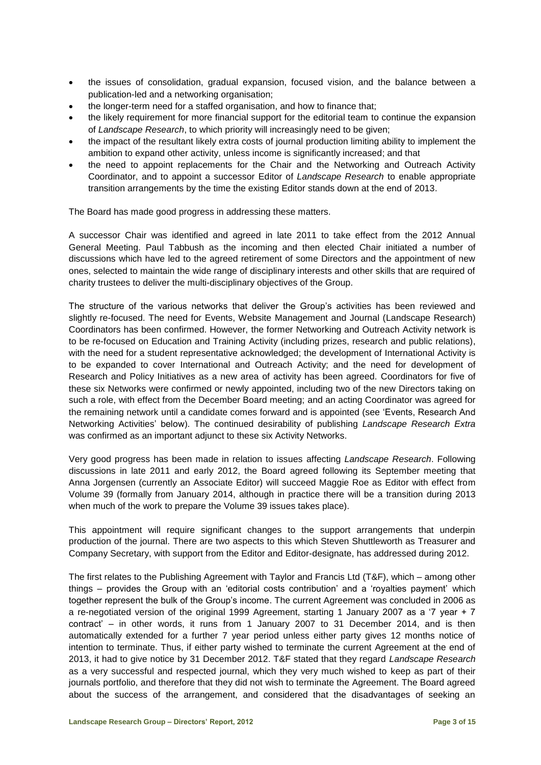- the issues of consolidation, gradual expansion, focused vision, and the balance between a publication-led and a networking organisation;
- the longer-term need for a staffed organisation, and how to finance that;
- the likely requirement for more financial support for the editorial team to continue the expansion of *Landscape Research*, to which priority will increasingly need to be given;
- the impact of the resultant likely extra costs of journal production limiting ability to implement the ambition to expand other activity, unless income is significantly increased; and that
- the need to appoint replacements for the Chair and the Networking and Outreach Activity Coordinator, and to appoint a successor Editor of *Landscape Research* to enable appropriate transition arrangements by the time the existing Editor stands down at the end of 2013.

The Board has made good progress in addressing these matters.

A successor Chair was identified and agreed in late 2011 to take effect from the 2012 Annual General Meeting. Paul Tabbush as the incoming and then elected Chair initiated a number of discussions which have led to the agreed retirement of some Directors and the appointment of new ones, selected to maintain the wide range of disciplinary interests and other skills that are required of charity trustees to deliver the multi-disciplinary objectives of the Group.

The structure of the various networks that deliver the Group's activities has been reviewed and slightly re-focused. The need for Events, Website Management and Journal (Landscape Research) Coordinators has been confirmed. However, the former Networking and Outreach Activity network is to be re-focused on Education and Training Activity (including prizes, research and public relations), with the need for a student representative acknowledged; the development of International Activity is to be expanded to cover International and Outreach Activity; and the need for development of Research and Policy Initiatives as a new area of activity has been agreed. Coordinators for five of these six Networks were confirmed or newly appointed, including two of the new Directors taking on such a role, with effect from the December Board meeting; and an acting Coordinator was agreed for the remaining network until a candidate comes forward and is appointed (see 'Events, Research And Networking Activities' below). The continued desirability of publishing *Landscape Research Extra* was confirmed as an important adjunct to these six Activity Networks.

Very good progress has been made in relation to issues affecting *Landscape Research*. Following discussions in late 2011 and early 2012, the Board agreed following its September meeting that Anna Jorgensen (currently an Associate Editor) will succeed Maggie Roe as Editor with effect from Volume 39 (formally from January 2014, although in practice there will be a transition during 2013 when much of the work to prepare the Volume 39 issues takes place).

This appointment will require significant changes to the support arrangements that underpin production of the journal. There are two aspects to this which Steven Shuttleworth as Treasurer and Company Secretary, with support from the Editor and Editor-designate, has addressed during 2012.

The first relates to the Publishing Agreement with Taylor and Francis Ltd (T&F), which – among other things – provides the Group with an 'editorial costs contribution' and a 'royalties payment' which together represent the bulk of the Group's income. The current Agreement was concluded in 2006 as a re-negotiated version of the original 1999 Agreement, starting 1 January 2007 as a '7 year + 7 contract' – in other words, it runs from 1 January 2007 to 31 December 2014, and is then automatically extended for a further 7 year period unless either party gives 12 months notice of intention to terminate. Thus, if either party wished to terminate the current Agreement at the end of 2013, it had to give notice by 31 December 2012. T&F stated that they regard *Landscape Research* as a very successful and respected journal, which they very much wished to keep as part of their journals portfolio, and therefore that they did not wish to terminate the Agreement. The Board agreed about the success of the arrangement, and considered that the disadvantages of seeking an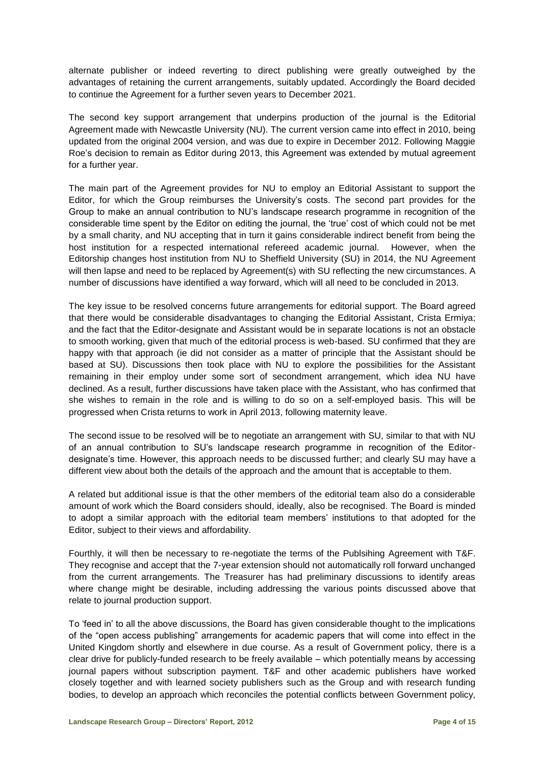alternate publisher or indeed reverting to direct publishing were greatly outweighed by the advantages of retaining the current arrangements, suitably updated. Accordingly the Board decided to continue the Agreement for a further seven years to December 2021.

The second key support arrangement that underpins production of the journal is the Editorial Agreement made with Newcastle University (NU). The current version came into effect in 2010, being updated from the original 2004 version, and was due to expire in December 2012. Following Maggie Roe's decision to remain as Editor during 2013, this Agreement was extended by mutual agreement for a further year.

The main part of the Agreement provides for NU to employ an Editorial Assistant to support the Editor, for which the Group reimburses the University's costs. The second part provides for the Group to make an annual contribution to NU's landscape research programme in recognition of the considerable time spent by the Editor on editing the journal, the 'true' cost of which could not be met by a small charity, and NU accepting that in turn it gains considerable indirect benefit from being the host institution for a respected international refereed academic journal. However, when the Editorship changes host institution from NU to Sheffield University (SU) in 2014, the NU Agreement will then lapse and need to be replaced by Agreement(s) with SU reflecting the new circumstances. A number of discussions have identified a way forward, which will all need to be concluded in 2013.

The key issue to be resolved concerns future arrangements for editorial support. The Board agreed that there would be considerable disadvantages to changing the Editorial Assistant, Crista Ermiya; and the fact that the Editor-designate and Assistant would be in separate locations is not an obstacle to smooth working, given that much of the editorial process is web-based. SU confirmed that they are happy with that approach (ie did not consider as a matter of principle that the Assistant should be based at SU). Discussions then took place with NU to explore the possibilities for the Assistant remaining in their employ under some sort of secondment arrangement, which idea NU have declined. As a result, further discussions have taken place with the Assistant, who has confirmed that she wishes to remain in the role and is willing to do so on a self-employed basis. This will be progressed when Crista returns to work in April 2013, following maternity leave.

The second issue to be resolved will be to negotiate an arrangement with SU, similar to that with NU of an annual contribution to SU's landscape research programme in recognition of the Editordesignate's time. However, this approach needs to be discussed further; and clearly SU may have a different view about both the details of the approach and the amount that is acceptable to them.

A related but additional issue is that the other members of the editorial team also do a considerable amount of work which the Board considers should, ideally, also be recognised. The Board is minded to adopt a similar approach with the editorial team members' institutions to that adopted for the Editor, subject to their views and affordability.

Fourthly, it will then be necessary to re-negotiate the terms of the Publsihing Agreement with T&F. They recognise and accept that the 7-year extension should not automatically roll forward unchanged from the current arrangements. The Treasurer has had preliminary discussions to identify areas where change might be desirable, including addressing the various points discussed above that relate to journal production support.

To 'feed in' to all the above discussions, the Board has given considerable thought to the implications of the "open access publishing" arrangements for academic papers that will come into effect in the United Kingdom shortly and elsewhere in due course. As a result of Government policy, there is a clear drive for publicly-funded research to be freely available – which potentially means by accessing journal papers without subscription payment. T&F and other academic publishers have worked closely together and with learned society publishers such as the Group and with research funding bodies, to develop an approach which reconciles the potential conflicts between Government policy,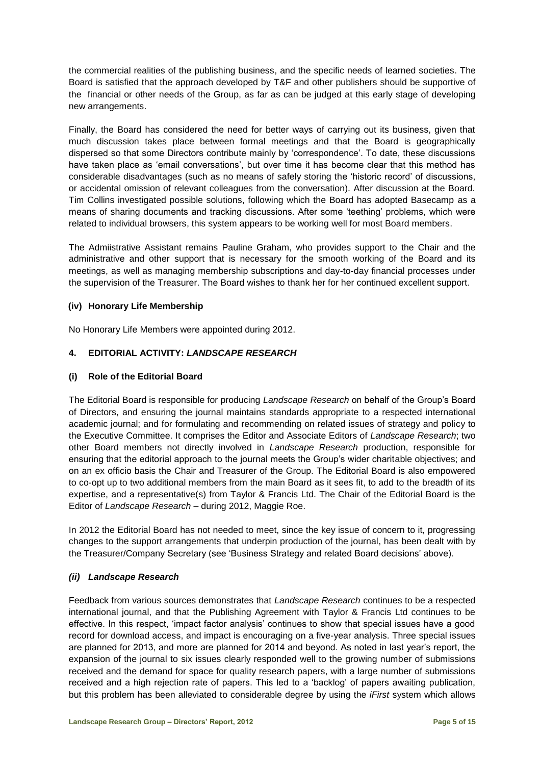the commercial realities of the publishing business, and the specific needs of learned societies. The Board is satisfied that the approach developed by T&F and other publishers should be supportive of the financial or other needs of the Group, as far as can be judged at this early stage of developing new arrangements.

Finally, the Board has considered the need for better ways of carrying out its business, given that much discussion takes place between formal meetings and that the Board is geographically dispersed so that some Directors contribute mainly by 'correspondence'. To date, these discussions have taken place as 'email conversations', but over time it has become clear that this method has considerable disadvantages (such as no means of safely storing the 'historic record' of discussions, or accidental omission of relevant colleagues from the conversation). After discussion at the Board. Tim Collins investigated possible solutions, following which the Board has adopted Basecamp as a means of sharing documents and tracking discussions. After some 'teething' problems, which were related to individual browsers, this system appears to be working well for most Board members.

The Admiistrative Assistant remains Pauline Graham, who provides support to the Chair and the administrative and other support that is necessary for the smooth working of the Board and its meetings, as well as managing membership subscriptions and day-to-day financial processes under the supervision of the Treasurer. The Board wishes to thank her for her continued excellent support.

#### **(iv) Honorary Life Membership**

No Honorary Life Members were appointed during 2012.

#### **4. EDITORIAL ACTIVITY:** *LANDSCAPE RESEARCH*

#### **(i) Role of the Editorial Board**

The Editorial Board is responsible for producing *Landscape Research* on behalf of the Group's Board of Directors, and ensuring the journal maintains standards appropriate to a respected international academic journal; and for formulating and recommending on related issues of strategy and policy to the Executive Committee. It comprises the Editor and Associate Editors of *Landscape Research*; two other Board members not directly involved in *Landscape Research* production, responsible for ensuring that the editorial approach to the journal meets the Group's wider charitable objectives; and on an ex officio basis the Chair and Treasurer of the Group. The Editorial Board is also empowered to co-opt up to two additional members from the main Board as it sees fit, to add to the breadth of its expertise, and a representative(s) from Taylor & Francis Ltd. The Chair of the Editorial Board is the Editor of *Landscape Research* – during 2012, Maggie Roe.

In 2012 the Editorial Board has not needed to meet, since the key issue of concern to it, progressing changes to the support arrangements that underpin production of the journal, has been dealt with by the Treasurer/Company Secretary (see 'Business Strategy and related Board decisions' above).

#### *(ii) Landscape Research*

Feedback from various sources demonstrates that *Landscape Research* continues to be a respected international journal, and that the Publishing Agreement with Taylor & Francis Ltd continues to be effective. In this respect, 'impact factor analysis' continues to show that special issues have a good record for download access, and impact is encouraging on a five-year analysis. Three special issues are planned for 2013, and more are planned for 2014 and beyond. As noted in last year's report, the expansion of the journal to six issues clearly responded well to the growing number of submissions received and the demand for space for quality research papers, with a large number of submissions received and a high rejection rate of papers. This led to a 'backlog' of papers awaiting publication, but this problem has been alleviated to considerable degree by using the *iFirst* system which allows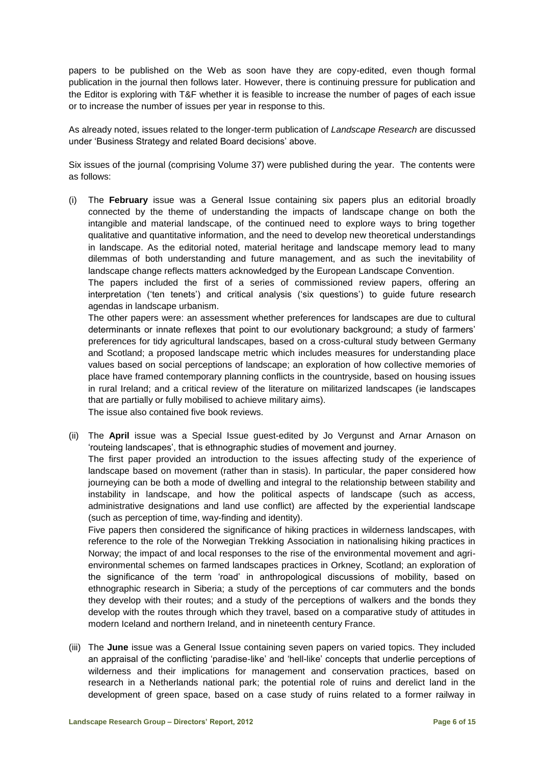papers to be published on the Web as soon have they are copy-edited, even though formal publication in the journal then follows later. However, there is continuing pressure for publication and the Editor is exploring with T&F whether it is feasible to increase the number of pages of each issue or to increase the number of issues per year in response to this.

As already noted, issues related to the longer-term publication of *Landscape Research* are discussed under 'Business Strategy and related Board decisions' above.

Six issues of the journal (comprising Volume 37) were published during the year. The contents were as follows:

(i) The **February** issue was a General Issue containing six papers plus an editorial broadly connected by the theme of understanding the impacts of landscape change on both the intangible and material landscape, of the continued need to explore ways to bring together qualitative and quantitative information, and the need to develop new theoretical understandings in landscape. As the editorial noted, material heritage and landscape memory lead to many dilemmas of both understanding and future management, and as such the inevitability of landscape change reflects matters acknowledged by the European Landscape Convention.

The papers included the first of a series of commissioned review papers, offering an interpretation ('ten tenets') and critical analysis ('six questions') to guide future research agendas in landscape urbanism.

The other papers were: an assessment whether preferences for landscapes are due to cultural determinants or innate reflexes that point to our evolutionary background; a study of farmers' preferences for tidy agricultural landscapes, based on a cross-cultural study between Germany and Scotland; a proposed landscape metric which includes measures for understanding place values based on social perceptions of landscape; an exploration of how collective memories of place have framed contemporary planning conflicts in the countryside, based on housing issues in rural Ireland; and a critical review of the literature on militarized landscapes (ie landscapes that are partially or fully mobilised to achieve military aims). The issue also contained five book reviews.

(ii) The **April** issue was a Special Issue guest-edited by Jo Vergunst and Arnar Arnason on

'routeing landscapes', that is ethnographic studies of movement and journey. The first paper provided an introduction to the issues affecting study of the experience of landscape based on movement (rather than in stasis). In particular, the paper considered how journeying can be both a mode of dwelling and integral to the relationship between stability and instability in landscape, and how the political aspects of landscape (such as access, administrative designations and land use conflict) are affected by the experiential landscape (such as perception of time, way-finding and identity).

Five papers then considered the significance of hiking practices in wilderness landscapes, with reference to the role of the Norwegian Trekking Association in nationalising hiking practices in Norway; the impact of and local responses to the rise of the environmental movement and agrienvironmental schemes on farmed landscapes practices in Orkney, Scotland; an exploration of the significance of the term 'road' in anthropological discussions of mobility, based on ethnographic research in Siberia; a study of the perceptions of car commuters and the bonds they develop with their routes; and a study of the perceptions of walkers and the bonds they develop with the routes through which they travel, based on a comparative study of attitudes in modern Iceland and northern Ireland, and in nineteenth century France.

(iii) The **June** issue was a General Issue containing seven papers on varied topics. They included an appraisal of the conflicting 'paradise-like' and 'hell-like' concepts that underlie perceptions of wilderness and their implications for management and conservation practices, based on research in a Netherlands national park; the potential role of ruins and derelict land in the development of green space, based on a case study of ruins related to a former railway in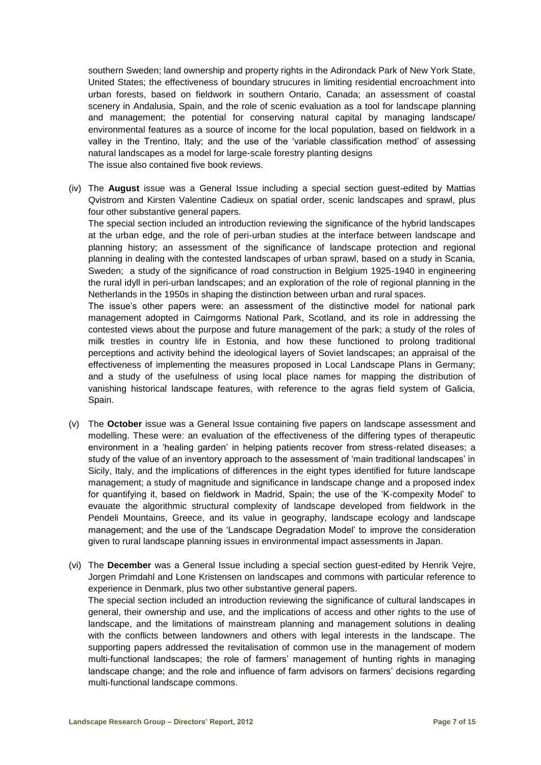southern Sweden; land ownership and property rights in the Adirondack Park of New York State, United States; the effectiveness of boundary strucures in limiting residential encroachment into urban forests, based on fieldwork in southern Ontario, Canada; an assessment of coastal scenery in Andalusia, Spain, and the role of scenic evaluation as a tool for landscape planning and management; the potential for conserving natural capital by managing landscape/ environmental features as a source of income for the local population, based on fieldwork in a valley in the Trentino, Italy; and the use of the 'variable classification method' of assessing natural landscapes as a model for large-scale forestry planting designs The issue also contained five book reviews.

(iv) The **August** issue was a General Issue including a special section guest-edited by Mattias Qvistrom and Kirsten Valentine Cadieux on spatial order, scenic landscapes and sprawl, plus four other substantive general papers.

The special section included an introduction reviewing the significance of the hybrid landscapes at the urban edge, and the role of peri-urban studies at the interface between landscape and planning history; an assessment of the significance of landscape protection and regional planning in dealing with the contested landscapes of urban sprawl, based on a study in Scania, Sweden; a study of the significance of road construction in Belgium 1925-1940 in engineering the rural idyll in peri-urban landscapes; and an exploration of the role of regional planning in the Netherlands in the 1950s in shaping the distinction between urban and rural spaces.

The issue's other papers were: an assessment of the distinctive model for national park management adopted in Cairngorms National Park, Scotland, and its role in addressing the contested views about the purpose and future management of the park; a study of the roles of milk trestles in country life in Estonia, and how these functioned to prolong traditional perceptions and activity behind the ideological layers of Soviet landscapes; an appraisal of the effectiveness of implementing the measures proposed in Local Landscape Plans in Germany; and a study of the usefulness of using local place names for mapping the distribution of vanishing historical landscape features, with reference to the agras field system of Galicia, Spain.

- (v) The **October** issue was a General Issue containing five papers on landscape assessment and modelling. These were: an evaluation of the effectiveness of the differing types of therapeutic environment in a 'healing garden' in helping patients recover from stress-related diseases; a study of the value of an inventory approach to the assessment of 'main traditional landscapes' in Sicily, Italy, and the implications of differences in the eight types identified for future landscape management; a study of magnitude and significance in landscape change and a proposed index for quantifying it, based on fieldwork in Madrid, Spain; the use of the 'K-compexity Model' to evauate the algorithmic structural complexity of landscape developed from fieldwork in the Pendeli Mountains, Greece, and its value in geography, landscape ecology and landscape management; and the use of the 'Landscape Degradation Model' to improve the consideration given to rural landscape planning issues in environmental impact assessments in Japan.
- (vi) The **December** was a General Issue including a special section guest-edited by Henrik Vejre, Jorgen Primdahl and Lone Kristensen on landscapes and commons with particular reference to experience in Denmark, plus two other substantive general papers. The special section included an introduction reviewing the significance of cultural landscapes in general, their ownership and use, and the implications of access and other rights to the use of landscape, and the limitations of mainstream planning and management solutions in dealing with the conflicts between landowners and others with legal interests in the landscape. The supporting papers addressed the revitalisation of common use in the management of modern multi-functional landscapes; the role of farmers' management of hunting rights in managing landscape change; and the role and influence of farm advisors on farmers' decisions regarding multi-functional landscape commons.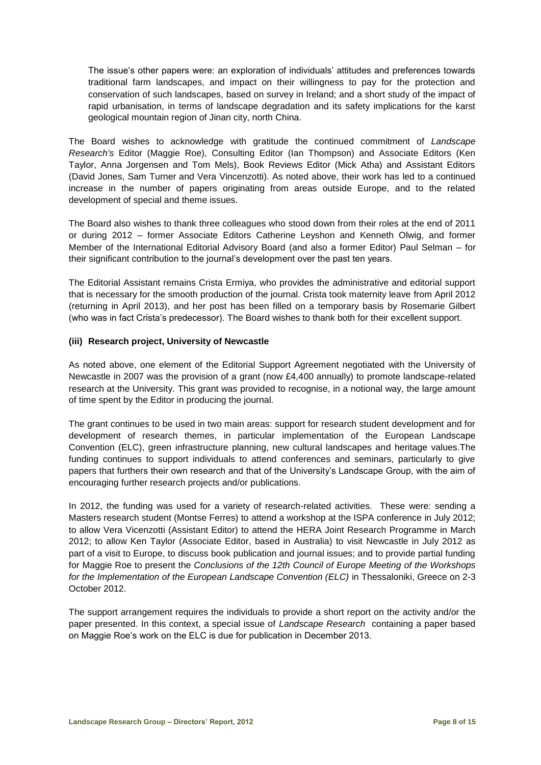The issue's other papers were: an exploration of individuals' attitudes and preferences towards traditional farm landscapes, and impact on their willingness to pay for the protection and conservation of such landscapes, based on survey in Ireland; and a short study of the impact of rapid urbanisation, in terms of landscape degradation and its safety implications for the karst geological mountain region of Jinan city, north China.

The Board wishes to acknowledge with gratitude the continued commitment of *Landscape Research's* Editor (Maggie Roe), Consulting Editor (Ian Thompson) and Associate Editors (Ken Taylor, Anna Jorgensen and Tom Mels), Book Reviews Editor (Mick Atha) and Assistant Editors (David Jones, Sam Turner and Vera Vincenzotti). As noted above, their work has led to a continued increase in the number of papers originating from areas outside Europe, and to the related development of special and theme issues.

The Board also wishes to thank three colleagues who stood down from their roles at the end of 2011 or during 2012 – former Associate Editors Catherine Leyshon and Kenneth Olwig, and former Member of the International Editorial Advisory Board (and also a former Editor) Paul Selman – for their significant contribution to the journal's development over the past ten years.

The Editorial Assistant remains Crista Ermiya, who provides the administrative and editorial support that is necessary for the smooth production of the journal. Crista took maternity leave from April 2012 (returning in April 2013), and her post has been filled on a temporary basis by Rosemarie Gilbert (who was in fact Crista's predecessor). The Board wishes to thank both for their excellent support.

#### **(iii) Research project, University of Newcastle**

As noted above, one element of the Editorial Support Agreement negotiated with the University of Newcastle in 2007 was the provision of a grant (now £4,400 annually) to promote landscape-related research at the University. This grant was provided to recognise, in a notional way, the large amount of time spent by the Editor in producing the journal.

The grant continues to be used in two main areas: support for research student development and for development of research themes, in particular implementation of the European Landscape Convention (ELC), green infrastructure planning, new cultural landscapes and heritage values.The funding continues to support individuals to attend conferences and seminars, particularly to give papers that furthers their own research and that of the University's Landscape Group, with the aim of encouraging further research projects and/or publications.

In 2012, the funding was used for a variety of research-related activities. These were: sending a Masters research student (Montse Ferres) to attend a workshop at the ISPA conference in July 2012; to allow Vera Vicenzotti (Assistant Editor) to attend the HERA Joint Research Programme in March 2012; to allow Ken Taylor (Associate Editor, based in Australia) to visit Newcastle in July 2012 as part of a visit to Europe, to discuss book publication and journal issues; and to provide partial funding for Maggie Roe to present the *Conclusions of the 12th Council of Europe Meeting of the Workshops for the Implementation of the European Landscape Convention (ELC)* in Thessaloniki, Greece on 2-3 October 2012.

The support arrangement requires the individuals to provide a short report on the activity and/or the paper presented. In this context, a special issue of *Landscape Research* containing a paper based on Maggie Roe's work on the ELC is due for publication in December 2013.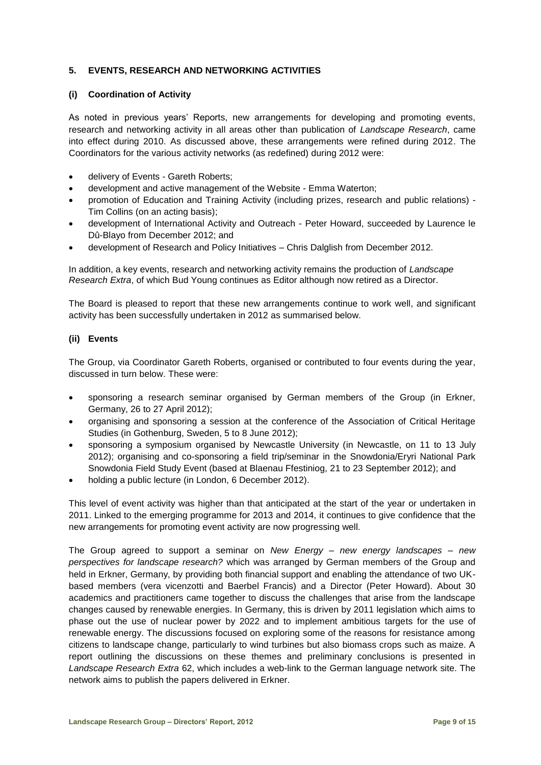#### **5. EVENTS, RESEARCH AND NETWORKING ACTIVITIES**

#### **(i) Coordination of Activity**

As noted in previous years' Reports, new arrangements for developing and promoting events, research and networking activity in all areas other than publication of *Landscape Research*, came into effect during 2010. As discussed above, these arrangements were refined during 2012. The Coordinators for the various activity networks (as redefined) during 2012 were:

- delivery of Events Gareth Roberts;
- development and active management of the Website Emma Waterton;
- promotion of Education and Training Activity (including prizes, research and public relations) Tim Collins (on an acting basis);
- development of International Activity and Outreach Peter Howard, succeeded by Laurence le Dû-Blayo from December 2012; and
- development of Research and Policy Initiatives Chris Dalglish from December 2012.

In addition, a key events, research and networking activity remains the production of *Landscape Research Extra*, of which Bud Young continues as Editor although now retired as a Director.

The Board is pleased to report that these new arrangements continue to work well, and significant activity has been successfully undertaken in 2012 as summarised below.

#### **(ii) Events**

The Group, via Coordinator Gareth Roberts, organised or contributed to four events during the year, discussed in turn below. These were:

- sponsoring a research seminar organised by German members of the Group (in Erkner, Germany, 26 to 27 April 2012);
- organising and sponsoring a session at the conference of the Association of Critical Heritage Studies (in Gothenburg, Sweden, 5 to 8 June 2012);
- sponsoring a symposium organised by Newcastle University (in Newcastle, on 11 to 13 July 2012); organising and co-sponsoring a field trip/seminar in the Snowdonia/Eryri National Park Snowdonia Field Study Event (based at Blaenau Ffestiniog, 21 to 23 September 2012); and
- holding a public lecture (in London, 6 December 2012).

This level of event activity was higher than that anticipated at the start of the year or undertaken in 2011. Linked to the emerging programme for 2013 and 2014, it continues to give confidence that the new arrangements for promoting event activity are now progressing well.

The Group agreed to support a seminar on *New Energy – new energy landscapes – new perspectives for landscape research?* which was arranged by German members of the Group and held in Erkner, Germany, by providing both financial support and enabling the attendance of two UKbased members (vera vicenzotti and Baerbel Francis) and a Director (Peter Howard). About 30 academics and practitioners came together to discuss the challenges that arise from the landscape changes caused by renewable energies. In Germany, this is driven by 2011 legislation which aims to phase out the use of nuclear power by 2022 and to implement ambitious targets for the use of renewable energy. The discussions focused on exploring some of the reasons for resistance among citizens to landscape change, particularly to wind turbines but also biomass crops such as maize. A report outlining the discussions on these themes and preliminary conclusions is presented in *Landscape Research Extra* 62, which includes a web-link to the German language network site. The network aims to publish the papers delivered in Erkner.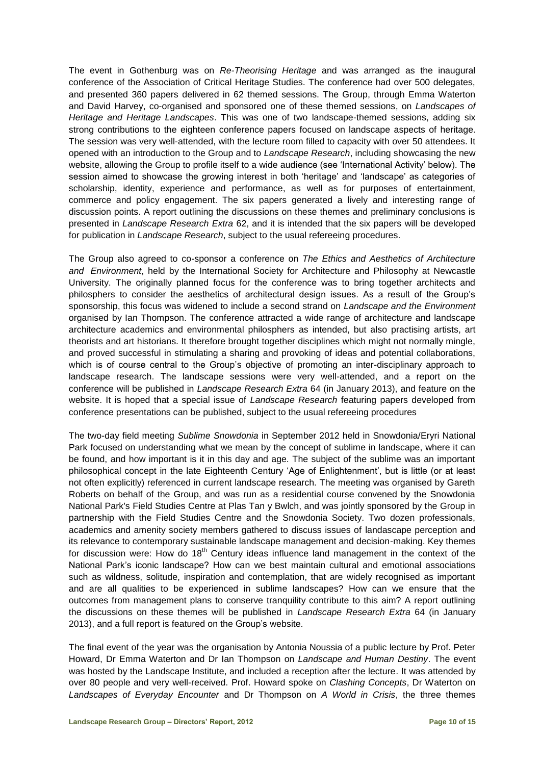The event in Gothenburg was on *Re-Theorising Heritage* and was arranged as the inaugural conference of the Association of Critical Heritage Studies. The conference had over 500 delegates, and presented 360 papers delivered in 62 themed sessions. The Group, through Emma Waterton and David Harvey, co-organised and sponsored one of these themed sessions, on *Landscapes of Heritage and Heritage Landscapes*. This was one of two landscape-themed sessions, adding six strong contributions to the eighteen conference papers focused on landscape aspects of heritage. The session was very well-attended, with the lecture room filled to capacity with over 50 attendees. It opened with an introduction to the Group and to *Landscape Research*, including showcasing the new website, allowing the Group to profile itself to a wide audience (see 'International Activity' below). The session aimed to showcase the growing interest in both 'heritage' and 'landscape' as categories of scholarship, identity, experience and performance, as well as for purposes of entertainment, commerce and policy engagement. The six papers generated a lively and interesting range of discussion points. A report outlining the discussions on these themes and preliminary conclusions is presented in *Landscape Research Extra* 62, and it is intended that the six papers will be developed for publication in *Landscape Research*, subject to the usual refereeing procedures.

The Group also agreed to co-sponsor a conference on *The Ethics and Aesthetics of Architecture and Environment*, held by the International Society for Architecture and Philosophy at Newcastle University. The originally planned focus for the conference was to bring together architects and philosphers to consider the aesthetics of architectural design issues. As a result of the Group's sponsorship, this focus was widened to include a second strand on *Landscape and the Environment* organised by Ian Thompson. The conference attracted a wide range of architecture and landscape architecture academics and environmental philosphers as intended, but also practising artists, art theorists and art historians. It therefore brought together disciplines which might not normally mingle, and proved successful in stimulating a sharing and provoking of ideas and potential collaborations, which is of course central to the Group's objective of promoting an inter-disciplinary approach to landscape research. The landscape sessions were very well-attended, and a report on the conference will be published in *Landscape Research Extra* 64 (in January 2013), and feature on the website. It is hoped that a special issue of *Landscape Research* featuring papers developed from conference presentations can be published, subject to the usual refereeing procedures

The two-day field meeting *Sublime Snowdonia* in September 2012 held in Snowdonia/Eryri National Park focused on understanding what we mean by the concept of sublime in landscape, where it can be found, and how important is it in this day and age. The subject of the sublime was an important philosophical concept in the late Eighteenth Century 'Age of Enlightenment', but is little (or at least not often explicitly) referenced in current landscape research. The meeting was organised by Gareth Roberts on behalf of the Group, and was run as a residential course convened by the Snowdonia National Park's Field Studies Centre at Plas Tan y Bwlch, and was jointly sponsored by the Group in partnership with the Field Studies Centre and the Snowdonia Society. Two dozen professionals, academics and amenity society members gathered to discuss issues of landascape perception and its relevance to contemporary sustainable landscape management and decision-making. Key themes for discussion were: How do  $18<sup>th</sup>$  Century ideas influence land management in the context of the National Park's iconic landscape? How can we best maintain cultural and emotional associations such as wildness, solitude, inspiration and contemplation, that are widely recognised as important and are all qualities to be experienced in sublime landscapes? How can we ensure that the outcomes from management plans to conserve tranquility contribute to this aim? A report outlining the discussions on these themes will be published in *Landscape Research Extra* 64 (in January 2013), and a full report is featured on the Group's website.

The final event of the year was the organisation by Antonia Noussia of a public lecture by Prof. Peter Howard, Dr Emma Waterton and Dr Ian Thompson on *Landscape and Human Destiny*. The event was hosted by the Landscape Institute, and included a reception after the lecture. It was attended by over 80 people and very well-received. Prof. Howard spoke on *Clashing Concepts*, Dr Waterton on *Landscapes of Everyday Encounter* and Dr Thompson on *A World in Crisis*, the three themes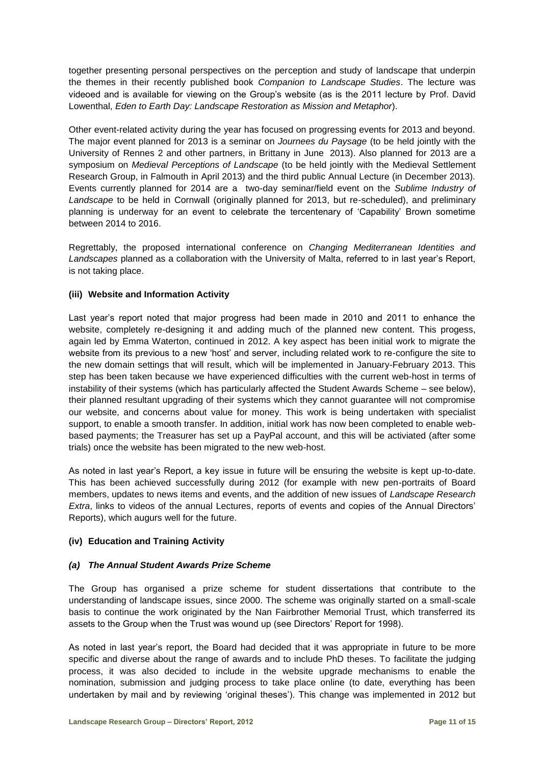together presenting personal perspectives on the perception and study of landscape that underpin the themes in their recently published book *Companion to Landscape Studies*. The lecture was videoed and is available for viewing on the Group's website (as is the 2011 lecture by Prof. David Lowenthal, *Eden to Earth Day: Landscape Restoration as Mission and Metaphor*).

Other event-related activity during the year has focused on progressing events for 2013 and beyond. The major event planned for 2013 is a seminar on *Journees du Paysage* (to be held jointly with the University of Rennes 2 and other partners, in Brittany in June 2013). Also planned for 2013 are a symposium on *Medieval Perceptions of Landscape* (to be held jointly with the Medieval Settlement Research Group, in Falmouth in April 2013) and the third public Annual Lecture (in December 2013). Events currently planned for 2014 are a two-day seminar/field event on the *Sublime Industry of Landscape* to be held in Cornwall (originally planned for 2013, but re-scheduled), and preliminary planning is underway for an event to celebrate the tercentenary of 'Capability' Brown sometime between 2014 to 2016.

Regrettably, the proposed international conference on *Changing Mediterranean Identities and Landscapes* planned as a collaboration with the University of Malta, referred to in last year's Report, is not taking place.

#### **(iii) Website and Information Activity**

Last year's report noted that major progress had been made in 2010 and 2011 to enhance the website, completely re-designing it and adding much of the planned new content. This progess, again led by Emma Waterton, continued in 2012. A key aspect has been initial work to migrate the website from its previous to a new 'host' and server, including related work to re-configure the site to the new domain settings that will result, which will be implemented in January-February 2013. This step has been taken because we have experienced difficulties with the current web-host in terms of instability of their systems (which has particularly affected the Student Awards Scheme – see below), their planned resultant upgrading of their systems which they cannot guarantee will not compromise our website, and concerns about value for money. This work is being undertaken with specialist support, to enable a smooth transfer. In addition, initial work has now been completed to enable webbased payments; the Treasurer has set up a PayPal account, and this will be activiated (after some trials) once the website has been migrated to the new web-host.

As noted in last year's Report, a key issue in future will be ensuring the website is kept up-to-date. This has been achieved successfully during 2012 (for example with new pen-portraits of Board members, updates to news items and events, and the addition of new issues of *Landscape Research Extra*, links to videos of the annual Lectures, reports of events and copies of the Annual Directors' Reports), which augurs well for the future.

#### **(iv) Education and Training Activity**

#### *(a) The Annual Student Awards Prize Scheme*

The Group has organised a prize scheme for student dissertations that contribute to the understanding of landscape issues, since 2000. The scheme was originally started on a small-scale basis to continue the work originated by the Nan Fairbrother Memorial Trust, which transferred its assets to the Group when the Trust was wound up (see Directors' Report for 1998).

As noted in last year's report, the Board had decided that it was appropriate in future to be more specific and diverse about the range of awards and to include PhD theses. To facilitate the judging process, it was also decided to include in the website upgrade mechanisms to enable the nomination, submission and judging process to take place online (to date, everything has been undertaken by mail and by reviewing 'original theses'). This change was implemented in 2012 but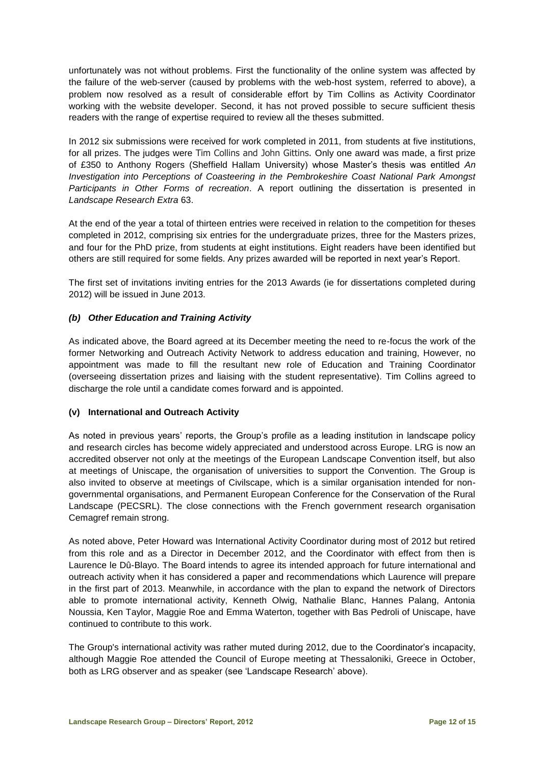unfortunately was not without problems. First the functionality of the online system was affected by the failure of the web-server (caused by problems with the web-host system, referred to above), a problem now resolved as a result of considerable effort by Tim Collins as Activity Coordinator working with the website developer. Second, it has not proved possible to secure sufficient thesis readers with the range of expertise required to review all the theses submitted.

In 2012 six submissions were received for work completed in 2011, from students at five institutions, for all prizes. The judges were Tim Collins and John Gittins. Only one award was made, a first prize of £350 to Anthony Rogers (Sheffield Hallam University) whose Master's thesis was entitled *An Investigation into Perceptions of Coasteering in the Pembrokeshire Coast National Park Amongst Participants in Other Forms of recreation*. A report outlining the dissertation is presented in *Landscape Research Extra* 63.

At the end of the year a total of thirteen entries were received in relation to the competition for theses completed in 2012, comprising six entries for the undergraduate prizes, three for the Masters prizes, and four for the PhD prize, from students at eight institutions. Eight readers have been identified but others are still required for some fields. Any prizes awarded will be reported in next year's Report.

The first set of invitations inviting entries for the 2013 Awards (ie for dissertations completed during 2012) will be issued in June 2013.

#### *(b) Other Education and Training Activity*

As indicated above, the Board agreed at its December meeting the need to re-focus the work of the former Networking and Outreach Activity Network to address education and training, However, no appointment was made to fill the resultant new role of Education and Training Coordinator (overseeing dissertation prizes and liaising with the student representative). Tim Collins agreed to discharge the role until a candidate comes forward and is appointed.

#### **(v) International and Outreach Activity**

As noted in previous years' reports, the Group's profile as a leading institution in landscape policy and research circles has become widely appreciated and understood across Europe. LRG is now an accredited observer not only at the meetings of the European Landscape Convention itself, but also at meetings of Uniscape, the organisation of universities to support the Convention. The Group is also invited to observe at meetings of Civilscape, which is a similar organisation intended for nongovernmental organisations, and Permanent European Conference for the Conservation of the Rural Landscape (PECSRL). The close connections with the French government research organisation Cemagref remain strong.

As noted above, Peter Howard was International Activity Coordinator during most of 2012 but retired from this role and as a Director in December 2012, and the Coordinator with effect from then is Laurence le Dû-Blayo. The Board intends to agree its intended approach for future international and outreach activity when it has considered a paper and recommendations which Laurence will prepare in the first part of 2013. Meanwhile, in accordance with the plan to expand the network of Directors able to promote international activity, Kenneth Olwig, Nathalie Blanc, Hannes Palang, Antonia Noussia, Ken Taylor, Maggie Roe and Emma Waterton, together with Bas Pedroli of Uniscape, have continued to contribute to this work.

The Group's international activity was rather muted during 2012, due to the Coordinator's incapacity, although Maggie Roe attended the Council of Europe meeting at Thessaloniki, Greece in October, both as LRG observer and as speaker (see 'Landscape Research' above).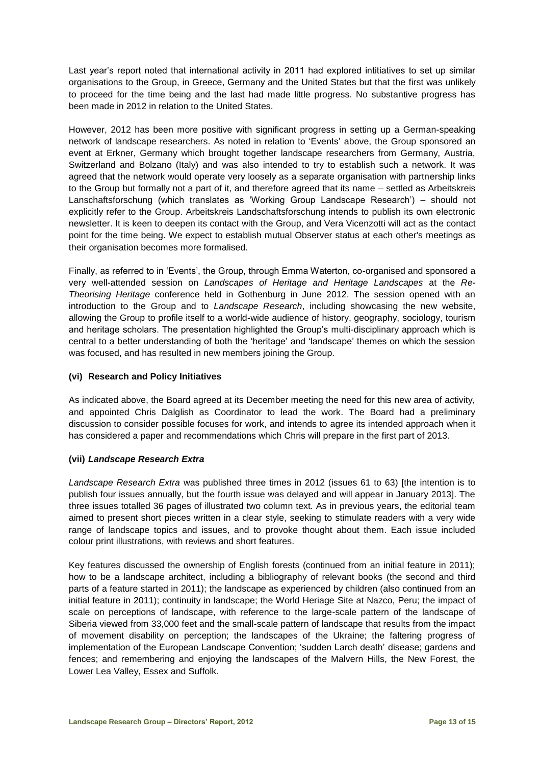Last year's report noted that international activity in 2011 had explored intitiatives to set up similar organisations to the Group, in Greece, Germany and the United States but that the first was unlikely to proceed for the time being and the last had made little progress. No substantive progress has been made in 2012 in relation to the United States.

However, 2012 has been more positive with significant progress in setting up a German-speaking network of landscape researchers. As noted in relation to 'Events' above, the Group sponsored an event at Erkner, Germany which brought together landscape researchers from Germany, Austria, Switzerland and Bolzano (Italy) and was also intended to try to establish such a network. It was agreed that the network would operate very loosely as a separate organisation with partnership links to the Group but formally not a part of it, and therefore agreed that its name – settled as Arbeitskreis Lanschaftsforschung (which translates as 'Working Group Landscape Research') – should not explicitly refer to the Group. Arbeitskreis Landschaftsforschung intends to publish its own electronic newsletter. It is keen to deepen its contact with the Group, and Vera Vicenzotti will act as the contact point for the time being. We expect to establish mutual Observer status at each other's meetings as their organisation becomes more formalised.

Finally, as referred to in 'Events', the Group, through Emma Waterton, co-organised and sponsored a very well-attended session on *Landscapes of Heritage and Heritage Landscapes* at the *Re-Theorising Heritage* conference held in Gothenburg in June 2012. The session opened with an introduction to the Group and to *Landscape Research*, including showcasing the new website, allowing the Group to profile itself to a world-wide audience of history, geography, sociology, tourism and heritage scholars. The presentation highlighted the Group's multi-disciplinary approach which is central to a better understanding of both the 'heritage' and 'landscape' themes on which the session was focused, and has resulted in new members joining the Group.

#### **(vi) Research and Policy Initiatives**

As indicated above, the Board agreed at its December meeting the need for this new area of activity, and appointed Chris Dalglish as Coordinator to lead the work. The Board had a preliminary discussion to consider possible focuses for work, and intends to agree its intended approach when it has considered a paper and recommendations which Chris will prepare in the first part of 2013.

#### **(vii)** *Landscape Research Extra*

*Landscape Research Extra* was published three times in 2012 (issues 61 to 63) [the intention is to publish four issues annually, but the fourth issue was delayed and will appear in January 2013]. The three issues totalled 36 pages of illustrated two column text. As in previous years, the editorial team aimed to present short pieces written in a clear style, seeking to stimulate readers with a very wide range of landscape topics and issues, and to provoke thought about them. Each issue included colour print illustrations, with reviews and short features.

Key features discussed the ownership of English forests (continued from an initial feature in 2011); how to be a landscape architect, including a bibliography of relevant books (the second and third parts of a feature started in 2011); the landscape as experienced by children (also continued from an initial feature in 2011); continuity in landscape; the World Heriage Site at Nazco, Peru; the impact of scale on perceptions of landscape, with reference to the large-scale pattern of the landscape of Siberia viewed from 33,000 feet and the small-scale pattern of landscape that results from the impact of movement disability on perception; the landscapes of the Ukraine; the faltering progress of implementation of the European Landscape Convention; 'sudden Larch death' disease; gardens and fences; and remembering and enjoying the landscapes of the Malvern Hills, the New Forest, the Lower Lea Valley, Essex and Suffolk.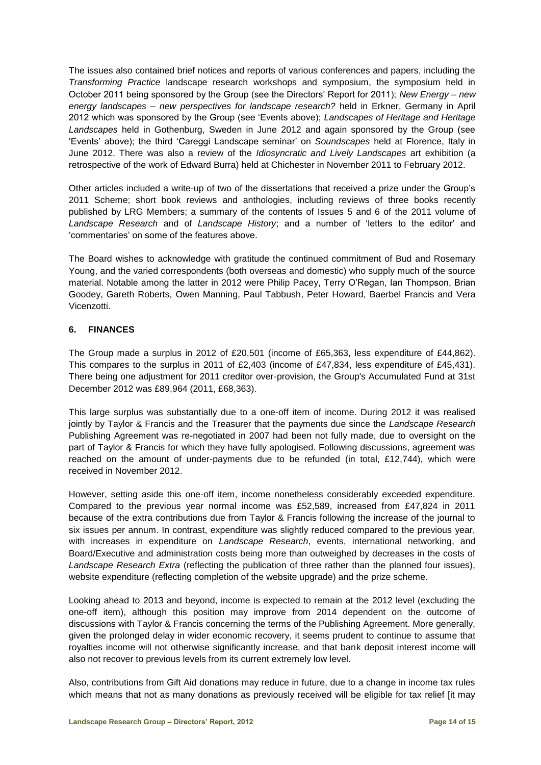The issues also contained brief notices and reports of various conferences and papers, including the *Transforming Practice* landscape research workshops and symposium, the symposium held in October 2011 being sponsored by the Group (see the Directors' Report for 2011); *New Energy – new energy landscapes – new perspectives for landscape research?* held in Erkner, Germany in April 2012 which was sponsored by the Group (see 'Events above); *Landscapes of Heritage and Heritage Landscapes* held in Gothenburg, Sweden in June 2012 and again sponsored by the Group (see 'Events' above); the third 'Careggi Landscape seminar' on *Soundscapes* held at Florence, Italy in June 2012. There was also a review of the *Idiosyncratic and Lively Landscapes* art exhibition (a retrospective of the work of Edward Burra) held at Chichester in November 2011 to February 2012.

Other articles included a write-up of two of the dissertations that received a prize under the Group's 2011 Scheme; short book reviews and anthologies, including reviews of three books recently published by LRG Members; a summary of the contents of Issues 5 and 6 of the 2011 volume of *Landscape Research* and of *Landscape History*; and a number of 'letters to the editor' and 'commentaries' on some of the features above.

The Board wishes to acknowledge with gratitude the continued commitment of Bud and Rosemary Young, and the varied correspondents (both overseas and domestic) who supply much of the source material. Notable among the latter in 2012 were Philip Pacey, Terry O'Regan, Ian Thompson, Brian Goodey, Gareth Roberts, Owen Manning, Paul Tabbush, Peter Howard, Baerbel Francis and Vera Vicenzotti.

#### **6. FINANCES**

The Group made a surplus in 2012 of £20,501 (income of £65,363, less expenditure of £44,862). This compares to the surplus in 2011 of £2,403 (income of £47,834, less expenditure of £45,431). There being one adjustment for 2011 creditor over-provision, the Group's Accumulated Fund at 31st December 2012 was £89,964 (2011, £68,363).

This large surplus was substantially due to a one-off item of income. During 2012 it was realised jointly by Taylor & Francis and the Treasurer that the payments due since the *Landscape Research* Publishing Agreement was re-negotiated in 2007 had been not fully made, due to oversight on the part of Taylor & Francis for which they have fully apologised. Following discussions, agreement was reached on the amount of under-payments due to be refunded (in total, £12,744), which were received in November 2012.

However, setting aside this one-off item, income nonetheless considerably exceeded expenditure. Compared to the previous year normal income was £52,589, increased from £47,824 in 2011 because of the extra contributions due from Taylor & Francis following the increase of the journal to six issues per annum. In contrast, expenditure was slightly reduced compared to the previous year, with increases in expenditure on *Landscape Research*, events, international networking, and Board/Executive and administration costs being more than outweighed by decreases in the costs of *Landscape Research Extra* (reflecting the publication of three rather than the planned four issues), website expenditure (reflecting completion of the website upgrade) and the prize scheme.

Looking ahead to 2013 and beyond, income is expected to remain at the 2012 level (excluding the one-off item), although this position may improve from 2014 dependent on the outcome of discussions with Taylor & Francis concerning the terms of the Publishing Agreement. More generally, given the prolonged delay in wider economic recovery, it seems prudent to continue to assume that royalties income will not otherwise significantly increase, and that bank deposit interest income will also not recover to previous levels from its current extremely low level.

Also, contributions from Gift Aid donations may reduce in future, due to a change in income tax rules which means that not as many donations as previously received will be eligible for tax relief [it may